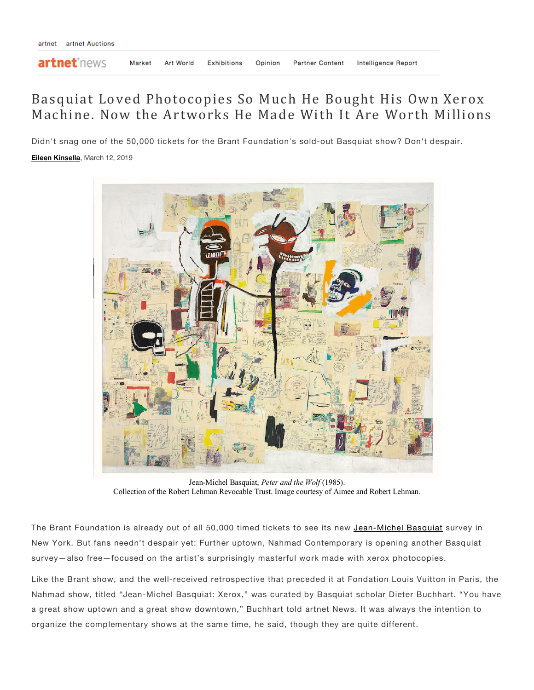artnet<sup>\*</sup>news

**Partner Content** 

## Basquiat Loved Photocopies So Much He Bought His Own Xerox Machine. Now the Artworks He Made With It Are Worth Millions

Didn't snag one of the 50,000 tickets for the Brant Foundation's sold-out Basquiat show? Don't despair. **Eileen Kinsella**, March 12, 2019



Jean-Michel Basquiat, *Peter and the Wolf* (1985). Collection of the Robert Lehman Revocable Trust. Image courtesy of Aimee and Robert Lehman.

The Brant Foundation is already out of all 50,000 timed tickets to see its new Jean-Michel Basquiat survey in New York. But fans needn't despair yet: Further uptown, Nahmad Contemporary is opening another Basquiat survey—also free—focused on the artist's surprisingly masterful work made with xerox photocopies.

Like the Brant show, and the well-received retrospective that preceded it at Fondation Louis Vuitton in Paris, the Nahmad show, titled "Jean-Michel Basquiat: Xerox," was curated by Basquiat scholar Dieter Buchhart. "You have a great show uptown and a great show downtown," Buchhart told artnet News. It was always the intention to organize the complementary shows at the same time, he said, though they are quite different.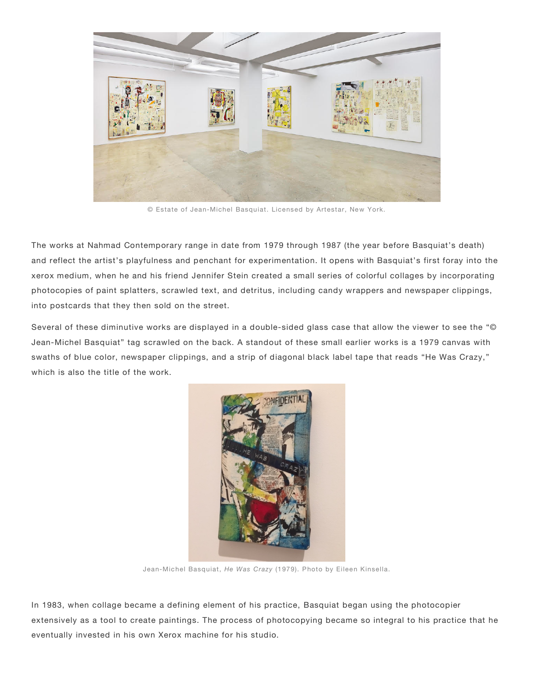

© Estate of Jean-Michel Basquiat. Licensed by Artestar, New York.

The works at Nahmad Contemporary range in date from 1979 through 1987 (the year before Basquiat's death) and reflect the artist's playfulness and penchant for experimentation. It opens with Basquiat's first foray into the xerox medium, when he and his friend Jennifer Stein created a small series of colorful collages by incorporating photocopies of paint splatters, scrawled text, and detritus, including candy wrappers and newspaper clippings, into postcards that they then sold on the street.

Several of these diminutive works are displayed in a double-sided glass case that allow the viewer to see the "© Jean-Michel Basquiat" tag scrawled on the back. A standout of these small earlier works is a 1979 canvas with swaths of blue color, newspaper clippings, and a strip of diagonal black label tape that reads "He Was Crazy," which is also the title of the work.



Jean-Michel Basquiat, *He Was Crazy* (1979). Photo by Eileen Kinsella.

In 1983, when collage became a defining element of his practice, Basquiat began using the photocopier extensively as a tool to create paintings. The process of photocopying became so integral to his practice that he eventually invested in his own Xerox machine for his studio.